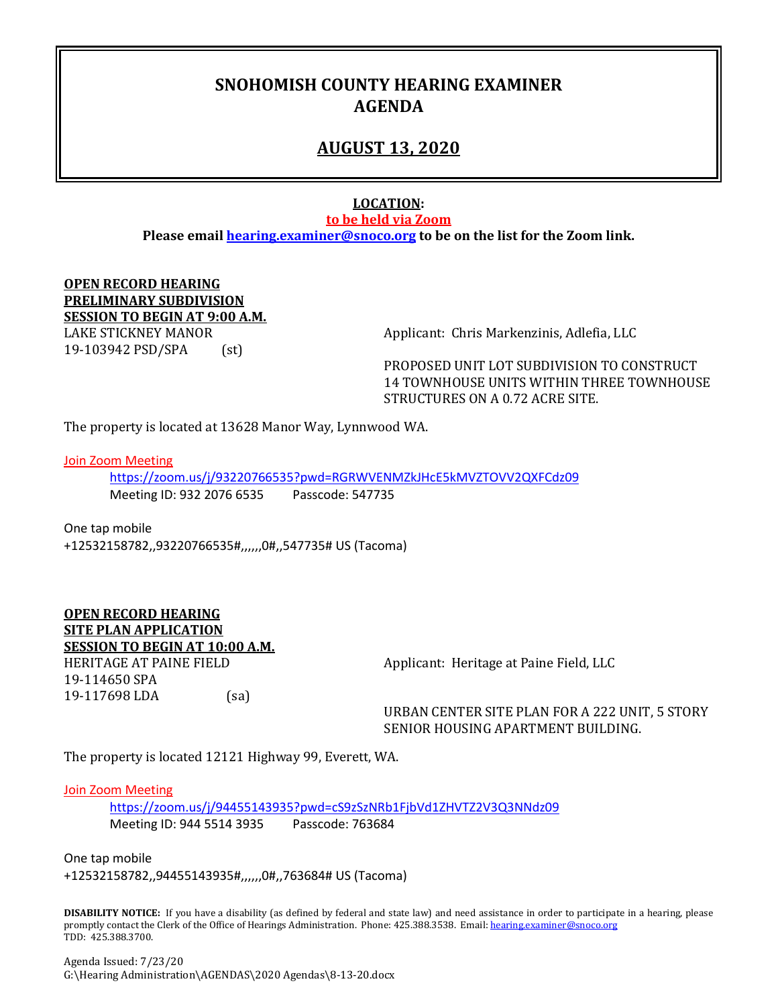## **SNOHOMISH COUNTY HEARING EXAMINER AGENDA**

## **AUGUST 13, 2020**

### **LOCATION:**

**to be held via Zoom**

**Please email [hearing.examiner@snoco.org](mailto:hearing.examiner@snoco.org) to be on the list for the Zoom link.**

#### **OPEN RECORD HEARING PRELIMINARY SUBDIVISION SESSION TO BEGIN AT 9:00 A.M.** LAKE STICKNEY MANOR <br>19-103942 PSD/SPA (st) (st) 19-103942 PSD/SPA

PROPOSED UNIT LOT SUBDIVISION TO CONSTRUCT 14 TOWNHOUSE UNITS WITHIN THREE TOWNHOUSE STRUCTURES ON A 0.72 ACRE SITE.

The property is located at 13628 Manor Way, Lynnwood WA.

Join Zoom Meeting

<https://zoom.us/j/93220766535?pwd=RGRWVENMZkJHcE5kMVZTOVV2QXFCdz09> Meeting ID: 932 2076 6535 Passcode: 547735

One tap mobile +12532158782,,93220766535#,,,,,,0#,,547735# US (Tacoma)

**OPEN RECORD HEARING SITE PLAN APPLICATION SESSION TO BEGIN AT 10:00 A.M.** 19-114650 SPA

19-117698 LDA (sa)

HERITAGE AT PAINE FIELD Applicant: Heritage at Paine Field, LLC

URBAN CENTER SITE PLAN FOR A 222 UNIT, 5 STORY SENIOR HOUSING APARTMENT BUILDING.

The property is located 12121 Highway 99, Everett, WA.

#### Join Zoom Meeting

<https://zoom.us/j/94455143935?pwd=cS9zSzNRb1FjbVd1ZHVTZ2V3Q3NNdz09> Meeting ID: 944 5514 3935 Passcode: 763684

One tap mobile +12532158782,,94455143935#,,,,,,0#,,763684# US (Tacoma)

**DISABILITY NOTICE:** If you have a disability (as defined by federal and state law) and need assistance in order to participate in a hearing, please promptly contact the Clerk of the Office of Hearings Administration. Phone: 425.388.3538. Email: hearing.examiner@snoco.org TDD: 425.388.3700.

Agenda Issued: 7/23/20 G:\Hearing Administration\AGENDAS\2020 Agendas\8-13-20.docx